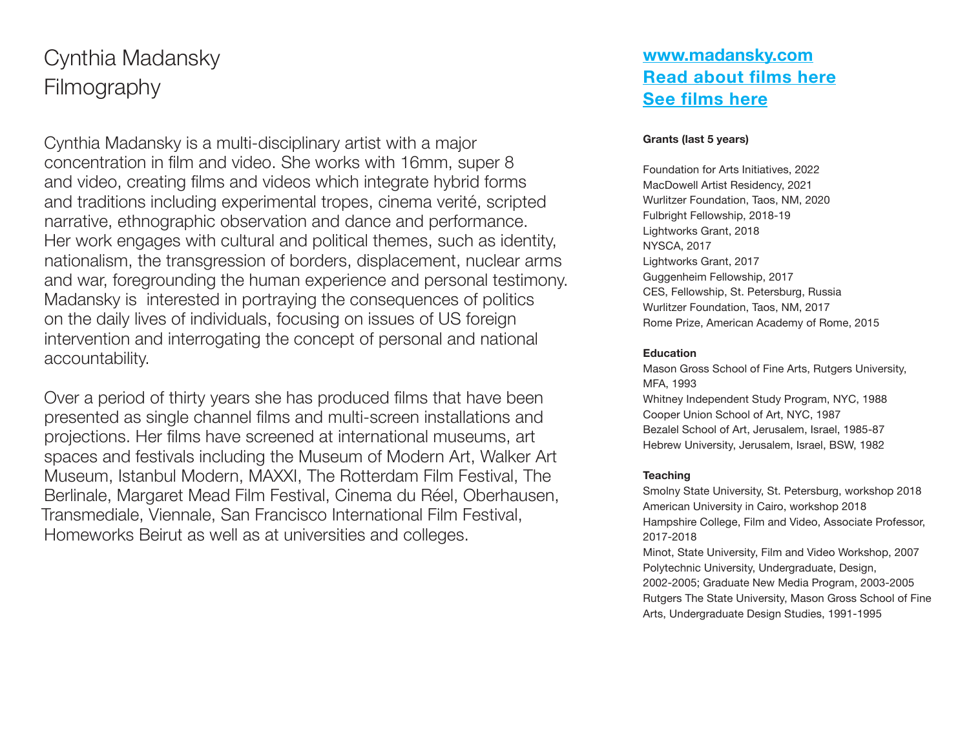# Cynthia Madansky **Filmography**

Cynthia Madansky is a multi-disciplinary artist with a major concentration in film and video. She works with 16mm, super 8 and video, creating films and videos which integrate hybrid forms and traditions including experimental tropes, cinema verité, scripted narrative, ethnographic observation and dance and performance. Her work engages with cultural and political themes, such as identity, nationalism, the transgression of borders, displacement, nuclear arms and war, foregrounding the human experience and personal testimony. Madansky is interested in portraying the consequences of politics on the daily lives of individuals, focusing on issues of US foreign intervention and interrogating the concept of personal and national accountability.

Over a period of thirty years she has produced films that have been presented as single channel films and multi-screen installations and projections. Her films have screened at international museums, art spaces and festivals including the Museum of Modern Art, Walker Art Museum, Istanbul Modern, MAXXI, The Rotterdam Film Festival, The Berlinale, Margaret Mead Film Festival, Cinema du Réel, Oberhausen, Transmediale, Viennale, San Francisco International Film Festival, Homeworks Beirut as well as at universities and colleges.

## **<www.madansky.com> [Read about films here](http://www.madansky.com/film-video/) [See films here](http://www.madansky.com/filmography/)**

## **Grants (last 5 years)**

Foundation for Arts Initiatives, 2022 MacDowell Artist Residency, 2021 Wurlitzer Foundation, Taos, NM, 2020 Fulbright Fellowship, 2018-19 Lightworks Grant, 2018 NYSCA, 2017 Lightworks Grant, 2017 Guggenheim Fellowship, 2017 CES, Fellowship, St. Petersburg, Russia Wurlitzer Foundation, Taos, NM, 2017 Rome Prize, American Academy of Rome, 2015

#### **Education**

Mason Gross School of Fine Arts, Rutgers University, MFA, 1993 Whitney Independent Study Program, NYC, 1988 Cooper Union School of Art, NYC, 1987 Bezalel School of Art, Jerusalem, Israel, 1985-87 Hebrew University, Jerusalem, Israel, BSW, 1982

#### **Teaching**

Smolny State University, St. Petersburg, workshop 2018 American University in Cairo, workshop 2018 Hampshire College, Film and Video, Associate Professor, 2017-2018 Minot, State University, Film and Video Workshop, 2007 Polytechnic University, Undergraduate, Design,

2002-2005; Graduate New Media Program, 2003-2005 Rutgers The State University, Mason Gross School of Fine Arts, Undergraduate Design Studies, 1991-1995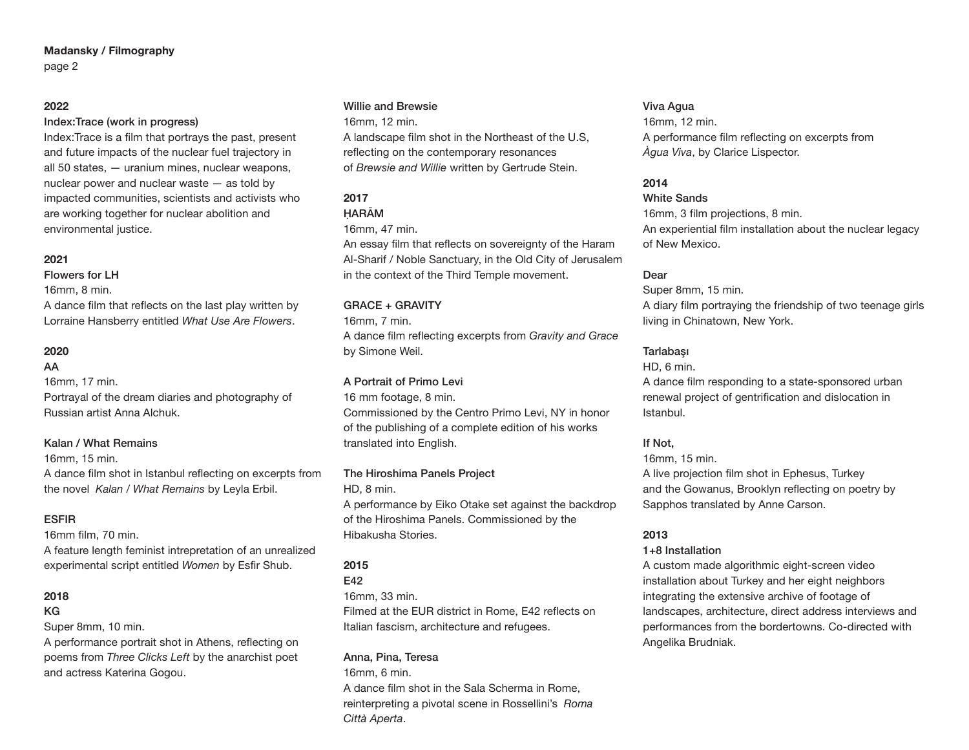#### **Madansky / Filmography** page 2

## **2022**

#### Index:Trace (work in progress)

Index:Trace is a film that portrays the past, present and future impacts of the nuclear fuel trajectory in all 50 states, — uranium mines, nuclear weapons, nuclear power and nuclear waste — as told by impacted communities, scientists and activists who are working together for nuclear abolition and environmental justice.

#### **2021**

Flowers for LH 16mm, 8 min.

A dance film that reflects on the last play written by Lorraine Hansberry entitled *What Use Are Flowers*.

## **2020**

AA

16mm, 17 min.

Portrayal of the dream diaries and photography of Russian artist Anna Alchuk.

## Kalan / What Remains

16mm, 15 min.

A dance film shot in Istanbul reflecting on excerpts from the novel *Kalan / What Remains* by Leyla Erbil.

## ESFIR

16mm film, 70 min.

A feature length feminist intrepretation of an unrealized experimental script entitled *Women* by Esfir Shub.

## **2018**

#### KG

Super 8mm, 10 min.

A performance portrait shot in Athens, reflecting on poems from *Three Clicks Left* by the anarchist poet and actress Katerina Gogou.

#### Willie and Brewsie

16mm, 12 min.

A landscape film shot in the Northeast of the U.S, reflecting on the contemporary resonances of *Brewsie and Willie* written by Gertrude Stein.

## **2017**

## ḤARĀM

16mm, 47 min.

An essay film that reflects on sovereignty of the Haram Al-Sharif / Noble Sanctuary, in the Old City of Jerusalem in the context of the Third Temple movement.

## GRACE + GRAVITY

16mm, 7 min.

A dance film reflecting excerpts from *Gravity and Grace* by Simone Weil.

## A Portrait of Primo Levi

16 mm footage, 8 min. Commissioned by the Centro Primo Levi, NY in honor of the publishing of a complete edition of his works translated into English.

## The Hiroshima Panels Project

HD, 8 min.

A performance by Eiko Otake set against the backdrop of the Hiroshima Panels. Commissioned by the Hibakusha Stories.

## **2015**

E42

16mm, 33 min.

Filmed at the EUR district in Rome, E42 reflects on Italian fascism, architecture and refugees.

## Anna, Pina, Teresa

16mm, 6 min.

A dance film shot in the Sala Scherma in Rome, reinterpreting a pivotal scene in Rossellini's *Roma Città Aperta*.

#### Viva Agua

16mm, 12 min. A performance film reflecting on excerpts from *Àgua Viva*, by Clarice Lispector.

## **2014**

White Sands 16mm, 3 film projections, 8 min. An experiential film installation about the nuclear legacy of New Mexico.

## Dear

Super 8mm, 15 min. A diary film portraying the friendship of two teenage girls living in Chinatown, New York.

## **Tarlabası**

HD, 6 min.

A dance film responding to a state-sponsored urban renewal project of gentrification and dislocation in Istanbul.

## If Not,

16mm, 15 min. A live projection film shot in Ephesus, Turkey and the Gowanus, Brooklyn reflecting on poetry by Sapphos translated by Anne Carson.

## **2013**

## 1+8 Installation

A custom made algorithmic eight-screen video installation about Turkey and her eight neighbors integrating the extensive archive of footage of landscapes, architecture, direct address interviews and performances from the bordertowns. Co-directed with Angelika Brudniak.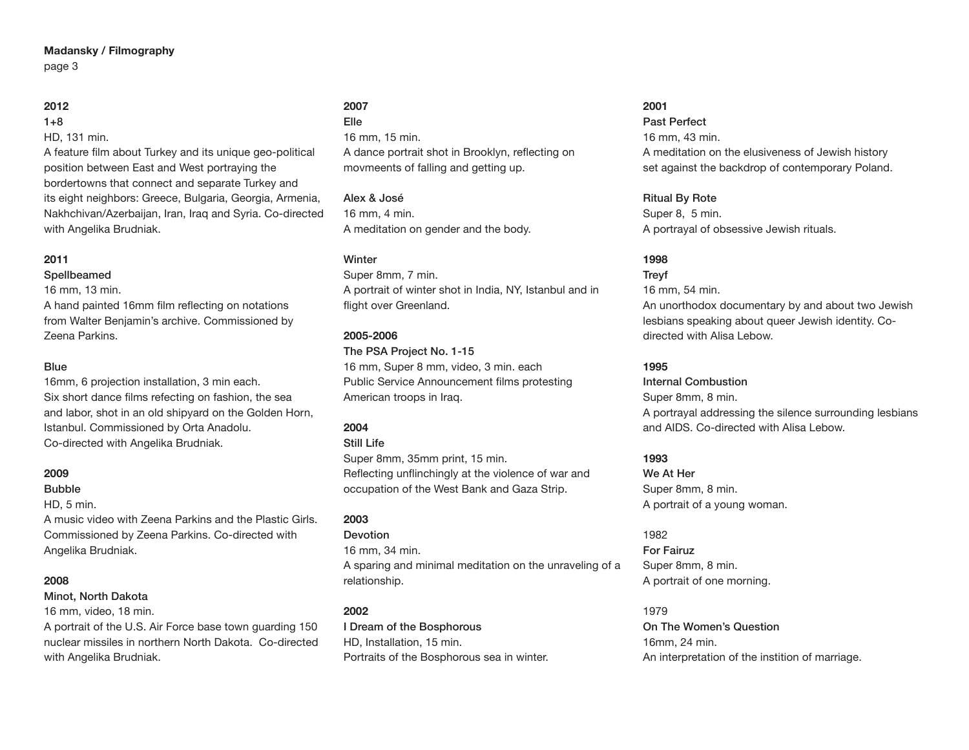## **Madansky / Filmography** page 3

## **2012**

 $1+8$ 

HD, 131 min.

A feature film about Turkey and its unique geo-political position between East and West portraying the bordertowns that connect and separate Turkey and its eight neighbors: Greece, Bulgaria, Georgia, Armenia, Nakhchivan/Azerbaijan, Iran, Iraq and Syria. Co-directed with Angelika Brudniak.

## **2011**

Spellbeamed

16 mm, 13 min.

A hand painted 16mm film reflecting on notations from Walter Benjamin's archive. Commissioned by Zeena Parkins.

#### **Blue**

16mm, 6 projection installation, 3 min each. Six short dance films refecting on fashion, the sea and labor, shot in an old shipyard on the Golden Horn, Istanbul. Commissioned by Orta Anadolu. Co-directed with Angelika Brudniak.

## **2009**

## Bubble

HD, 5 min.

A music video with Zeena Parkins and the Plastic Girls. Commissioned by Zeena Parkins. Co-directed with Angelika Brudniak.

## **2008**

Minot, North Dakota

16 mm, video, 18 min.

A portrait of the U.S. Air Force base town guarding 150 nuclear missiles in northern North Dakota. Co-directed with Angelika Brudniak.

#### **2007** Elle

16 mm, 15 min. A dance portrait shot in Brooklyn, reflecting on movmeents of falling and getting up.

Alex & José 16 mm, 4 min. A meditation on gender and the body.

## **Winter**

Super 8mm, 7 min. A portrait of winter shot in India, NY, Istanbul and in flight over Greenland.

## **2005-2006**

The PSA Project No. 1-15 16 mm, Super 8 mm, video, 3 min. each Public Service Announcement films protesting American troops in Iraq.

## **2004**

Still Life

Super 8mm, 35mm print, 15 min. Reflecting unflinchingly at the violence of war and occupation of the West Bank and Gaza Strip.

## **2003**

**Devotion** 16 mm, 34 min. A sparing and minimal meditation on the unraveling of a relationship.

## **2002**

I Dream of the Bosphorous HD, Installation, 15 min. Portraits of the Bosphorous sea in winter.

## **2001**

Past Perfect 16 mm, 43 min. A meditation on the elusiveness of Jewish history set against the backdrop of contemporary Poland.

Ritual By Rote Super 8, 5 min. A portrayal of obsessive Jewish rituals.

## **1998**

## Treyf

16 mm, 54 min. An unorthodox documentary by and about two Jewish lesbians speaking about queer Jewish identity. Codirected with Alisa Lebow.

## **1995**

Internal Combustion Super 8mm, 8 min. A portrayal addressing the silence surrounding lesbians and AIDS. Co-directed with Alisa Lebow.

## **1993**

We At Her Super 8mm, 8 min. A portrait of a young woman.

## 1982

For Fairuz Super 8mm, 8 min. A portrait of one morning.

## 1979

On The Women's Question 16mm, 24 min. An interpretation of the instition of marriage.